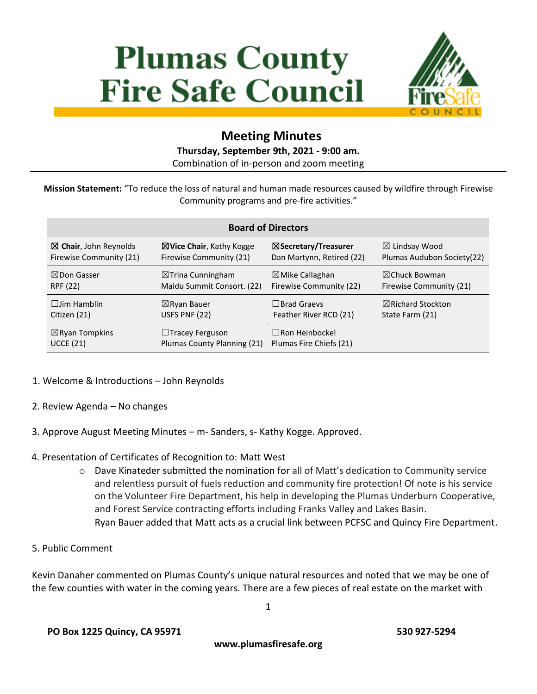# **Plumas County Fire Safe Council**



## **Meeting Minutes**

#### **Thursday, September 9th, 2021 - 9:00 am.**

Combination of in-person and zoom meeting

**Mission Statement:** "To reduce the loss of natural and human made resources caused by wildfire through Firewise Community programs and pre-fire activities."

| <b>Board of Directors</b>        |                                     |                            |                              |
|----------------------------------|-------------------------------------|----------------------------|------------------------------|
| $\boxtimes$ Chair, John Reynolds | $\boxtimes$ Vice Chair, Kathy Kogge | ⊠Secretary/Treasurer       | $\boxtimes$ Lindsay Wood     |
| Firewise Community (21)          | Firewise Community (21)             | Dan Martynn, Retired (22)  | Plumas Audubon Society(22)   |
| $\boxtimes$ Don Gasser           | $\boxtimes$ Trina Cunningham        | $\boxtimes$ Mike Callaghan | $\boxtimes$ Chuck Bowman     |
| RPF (22)                         | Maidu Summit Consort. (22)          | Firewise Community (22)    | Firewise Community (21)      |
| $\Box$ lim Hamblin               | $\boxtimes$ Ryan Bauer              | $\Box$ Brad Graevs         | $\boxtimes$ Richard Stockton |
| Citizen (21)                     | USFS PNF (22)                       | Feather River RCD (21)     | State Farm (21)              |
| $\boxtimes$ Ryan Tompkins        | $\Box$ Tracey Ferguson              | $\Box$ Ron Heinbockel      |                              |
| <b>UCCE (21)</b>                 | Plumas County Planning (21)         | Plumas Fire Chiefs (21)    |                              |

- 1. Welcome & Introductions John Reynolds
- 2. Review Agenda No changes
- 3. Approve August Meeting Minutes m- Sanders, s- Kathy Kogge. Approved.
- 4. Presentation of Certificates of Recognition to: Matt West
	- o Dave Kinateder submitted the nomination for all of Matt's dedication to Community service and relentless pursuit of fuels reduction and community fire protection! Of note is his service on the Volunteer Fire Department, his help in developing the Plumas Underburn Cooperative, and Forest Service contracting efforts including Franks Valley and Lakes Basin. Ryan Bauer added that Matt acts as a crucial link between PCFSC and Quincy Fire Department.
- 5. Public Comment

Kevin Danaher commented on Plumas County's unique natural resources and noted that we may be one of the few counties with water in the coming years. There are a few pieces of real estate on the market with

**www.plumasfiresafe.org**

1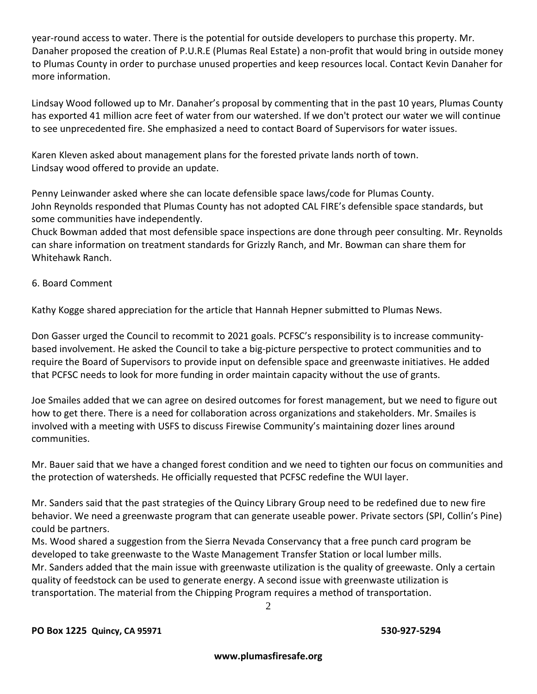year-round access to water. There is the potential for outside developers to purchase this property. Mr. Danaher proposed the creation of P.U.R.E (Plumas Real Estate) a non-profit that would bring in outside money to Plumas County in order to purchase unused properties and keep resources local. Contact Kevin Danaher for more information.

Lindsay Wood followed up to Mr. Danaher's proposal by commenting that in the past 10 years, Plumas County has exported 41 million acre feet of water from our watershed. If we don't protect our water we will continue to see unprecedented fire. She emphasized a need to contact Board of Supervisors for water issues.

Karen Kleven asked about management plans for the forested private lands north of town. Lindsay wood offered to provide an update.

Penny Leinwander asked where she can locate defensible space laws/code for Plumas County. John Reynolds responded that Plumas County has not adopted CAL FIRE's defensible space standards, but some communities have independently.

Chuck Bowman added that most defensible space inspections are done through peer consulting. Mr. Reynolds can share information on treatment standards for Grizzly Ranch, and Mr. Bowman can share them for Whitehawk Ranch.

#### 6. Board Comment

Kathy Kogge shared appreciation for the article that Hannah Hepner submitted to Plumas News.

Don Gasser urged the Council to recommit to 2021 goals. PCFSC's responsibility is to increase communitybased involvement. He asked the Council to take a big-picture perspective to protect communities and to require the Board of Supervisors to provide input on defensible space and greenwaste initiatives. He added that PCFSC needs to look for more funding in order maintain capacity without the use of grants.

Joe Smailes added that we can agree on desired outcomes for forest management, but we need to figure out how to get there. There is a need for collaboration across organizations and stakeholders. Mr. Smailes is involved with a meeting with USFS to discuss Firewise Community's maintaining dozer lines around communities.

Mr. Bauer said that we have a changed forest condition and we need to tighten our focus on communities and the protection of watersheds. He officially requested that PCFSC redefine the WUI layer.

Mr. Sanders said that the past strategies of the Quincy Library Group need to be redefined due to new fire behavior. We need a greenwaste program that can generate useable power. Private sectors (SPI, Collin's Pine) could be partners.

Ms. Wood shared a suggestion from the Sierra Nevada Conservancy that a free punch card program be developed to take greenwaste to the Waste Management Transfer Station or local lumber mills. Mr. Sanders added that the main issue with greenwaste utilization is the quality of greewaste. Only a certain quality of feedstock can be used to generate energy. A second issue with greenwaste utilization is transportation. The material from the Chipping Program requires a method of transportation.

2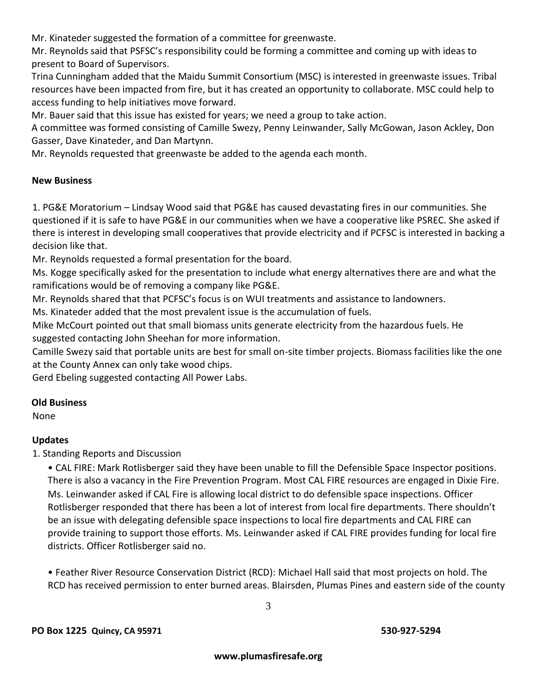Mr. Kinateder suggested the formation of a committee for greenwaste.

Mr. Reynolds said that PSFSC's responsibility could be forming a committee and coming up with ideas to present to Board of Supervisors.

Trina Cunningham added that the Maidu Summit Consortium (MSC) is interested in greenwaste issues. Tribal resources have been impacted from fire, but it has created an opportunity to collaborate. MSC could help to access funding to help initiatives move forward.

Mr. Bauer said that this issue has existed for years; we need a group to take action.

A committee was formed consisting of Camille Swezy, Penny Leinwander, Sally McGowan, Jason Ackley, Don Gasser, Dave Kinateder, and Dan Martynn.

Mr. Reynolds requested that greenwaste be added to the agenda each month.

#### **New Business**

1. PG&E Moratorium – Lindsay Wood said that PG&E has caused devastating fires in our communities. She questioned if it is safe to have PG&E in our communities when we have a cooperative like PSREC. She asked if there is interest in developing small cooperatives that provide electricity and if PCFSC is interested in backing a decision like that.

Mr. Reynolds requested a formal presentation for the board.

Ms. Kogge specifically asked for the presentation to include what energy alternatives there are and what the ramifications would be of removing a company like PG&E.

Mr. Reynolds shared that that PCFSC's focus is on WUI treatments and assistance to landowners.

Ms. Kinateder added that the most prevalent issue is the accumulation of fuels.

Mike McCourt pointed out that small biomass units generate electricity from the hazardous fuels. He suggested contacting John Sheehan for more information.

Camille Swezy said that portable units are best for small on-site timber projects. Biomass facilities like the one at the County Annex can only take wood chips.

Gerd Ebeling suggested contacting All Power Labs.

#### **Old Business**

None

### **Updates**

1. Standing Reports and Discussion

• CAL FIRE: Mark Rotlisberger said they have been unable to fill the Defensible Space Inspector positions. There is also a vacancy in the Fire Prevention Program. Most CAL FIRE resources are engaged in Dixie Fire. Ms. Leinwander asked if CAL Fire is allowing local district to do defensible space inspections. Officer Rotlisberger responded that there has been a lot of interest from local fire departments. There shouldn't be an issue with delegating defensible space inspections to local fire departments and CAL FIRE can provide training to support those efforts. Ms. Leinwander asked if CAL FIRE provides funding for local fire districts. Officer Rotlisberger said no.

• Feather River Resource Conservation District (RCD): Michael Hall said that most projects on hold. The RCD has received permission to enter burned areas. Blairsden, Plumas Pines and eastern side of the county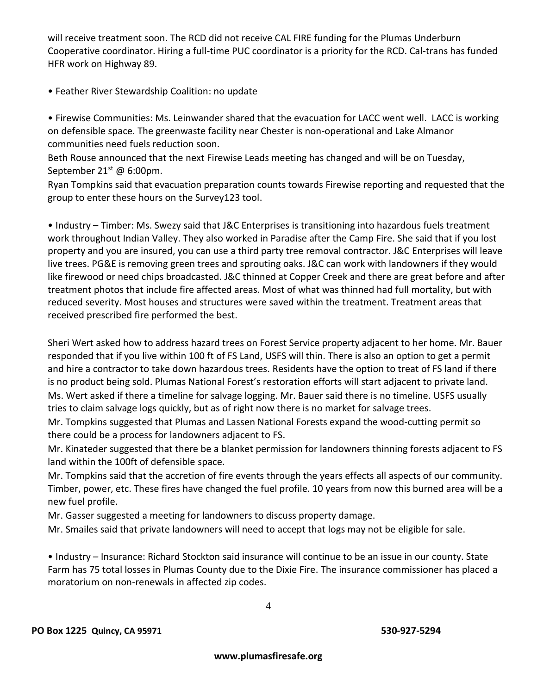will receive treatment soon. The RCD did not receive CAL FIRE funding for the Plumas Underburn Cooperative coordinator. Hiring a full-time PUC coordinator is a priority for the RCD. Cal-trans has funded HFR work on Highway 89.

• Feather River Stewardship Coalition: no update

• Firewise Communities: Ms. Leinwander shared that the evacuation for LACC went well. LACC is working on defensible space. The greenwaste facility near Chester is non-operational and Lake Almanor communities need fuels reduction soon.

Beth Rouse announced that the next Firewise Leads meeting has changed and will be on Tuesday, September 21<sup>st</sup> @ 6:00pm.

Ryan Tompkins said that evacuation preparation counts towards Firewise reporting and requested that the group to enter these hours on the Survey123 tool.

• Industry – Timber: Ms. Swezy said that J&C Enterprises is transitioning into hazardous fuels treatment work throughout Indian Valley. They also worked in Paradise after the Camp Fire. She said that if you lost property and you are insured, you can use a third party tree removal contractor. J&C Enterprises will leave live trees. PG&E is removing green trees and sprouting oaks. J&C can work with landowners if they would like firewood or need chips broadcasted. J&C thinned at Copper Creek and there are great before and after treatment photos that include fire affected areas. Most of what was thinned had full mortality, but with reduced severity. Most houses and structures were saved within the treatment. Treatment areas that received prescribed fire performed the best.

Sheri Wert asked how to address hazard trees on Forest Service property adjacent to her home. Mr. Bauer responded that if you live within 100 ft of FS Land, USFS will thin. There is also an option to get a permit and hire a contractor to take down hazardous trees. Residents have the option to treat of FS land if there is no product being sold. Plumas National Forest's restoration efforts will start adjacent to private land. Ms. Wert asked if there a timeline for salvage logging. Mr. Bauer said there is no timeline. USFS usually tries to claim salvage logs quickly, but as of right now there is no market for salvage trees.

Mr. Tompkins suggested that Plumas and Lassen National Forests expand the wood-cutting permit so there could be a process for landowners adjacent to FS.

Mr. Kinateder suggested that there be a blanket permission for landowners thinning forests adjacent to FS land within the 100ft of defensible space.

Mr. Tompkins said that the accretion of fire events through the years effects all aspects of our community. Timber, power, etc. These fires have changed the fuel profile. 10 years from now this burned area will be a new fuel profile.

Mr. Gasser suggested a meeting for landowners to discuss property damage.

Mr. Smailes said that private landowners will need to accept that logs may not be eligible for sale.

• Industry – Insurance: Richard Stockton said insurance will continue to be an issue in our county. State Farm has 75 total losses in Plumas County due to the Dixie Fire. The insurance commissioner has placed a moratorium on non-renewals in affected zip codes.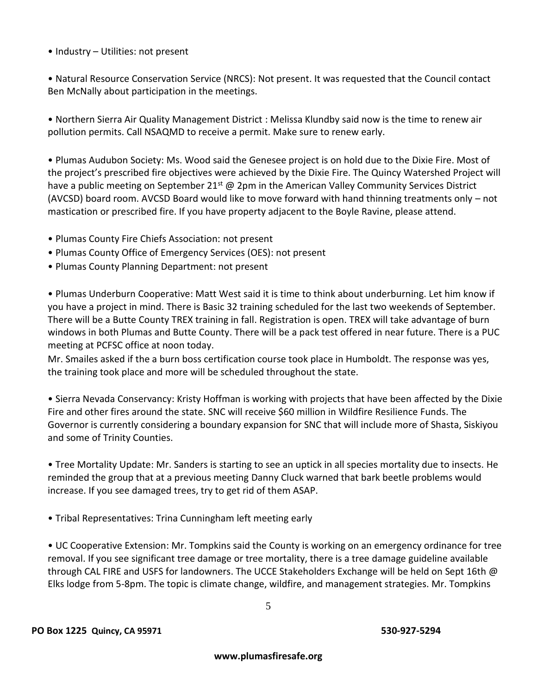• Industry – Utilities: not present

• Natural Resource Conservation Service (NRCS): Not present. It was requested that the Council contact Ben McNally about participation in the meetings.

• Northern Sierra Air Quality Management District : Melissa Klundby said now is the time to renew air pollution permits. Call NSAQMD to receive a permit. Make sure to renew early.

• Plumas Audubon Society: Ms. Wood said the Genesee project is on hold due to the Dixie Fire. Most of the project's prescribed fire objectives were achieved by the Dixie Fire. The Quincy Watershed Project will have a public meeting on September  $21^{st}$  @ 2pm in the American Valley Community Services District (AVCSD) board room. AVCSD Board would like to move forward with hand thinning treatments only – not mastication or prescribed fire. If you have property adjacent to the Boyle Ravine, please attend.

- Plumas County Fire Chiefs Association: not present
- Plumas County Office of Emergency Services (OES): not present
- Plumas County Planning Department: not present

• Plumas Underburn Cooperative: Matt West said it is time to think about underburning. Let him know if you have a project in mind. There is Basic 32 training scheduled for the last two weekends of September. There will be a Butte County TREX training in fall. Registration is open. TREX will take advantage of burn windows in both Plumas and Butte County. There will be a pack test offered in near future. There is a PUC meeting at PCFSC office at noon today.

Mr. Smailes asked if the a burn boss certification course took place in Humboldt. The response was yes, the training took place and more will be scheduled throughout the state.

• Sierra Nevada Conservancy: Kristy Hoffman is working with projects that have been affected by the Dixie Fire and other fires around the state. SNC will receive \$60 million in Wildfire Resilience Funds. The Governor is currently considering a boundary expansion for SNC that will include more of Shasta, Siskiyou and some of Trinity Counties.

• Tree Mortality Update: Mr. Sanders is starting to see an uptick in all species mortality due to insects. He reminded the group that at a previous meeting Danny Cluck warned that bark beetle problems would increase. If you see damaged trees, try to get rid of them ASAP.

• Tribal Representatives: Trina Cunningham left meeting early

• UC Cooperative Extension: Mr. Tompkins said the County is working on an emergency ordinance for tree removal. If you see significant tree damage or tree mortality, there is a tree damage guideline available through CAL FIRE and USFS for landowners. The UCCE Stakeholders Exchange will be held on Sept 16th @ Elks lodge from 5-8pm. The topic is climate change, wildfire, and management strategies. Mr. Tompkins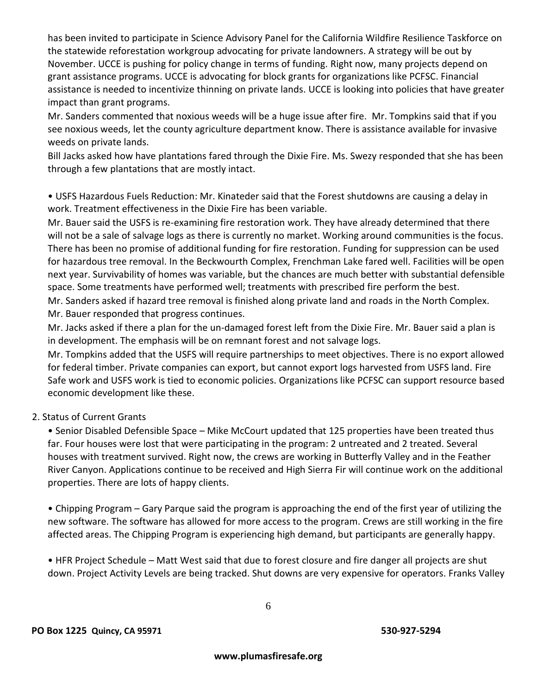has been invited to participate in Science Advisory Panel for the California Wildfire Resilience Taskforce on the statewide reforestation workgroup advocating for private landowners. A strategy will be out by November. UCCE is pushing for policy change in terms of funding. Right now, many projects depend on grant assistance programs. UCCE is advocating for block grants for organizations like PCFSC. Financial assistance is needed to incentivize thinning on private lands. UCCE is looking into policies that have greater impact than grant programs.

Mr. Sanders commented that noxious weeds will be a huge issue after fire. Mr. Tompkins said that if you see noxious weeds, let the county agriculture department know. There is assistance available for invasive weeds on private lands.

Bill Jacks asked how have plantations fared through the Dixie Fire. Ms. Swezy responded that she has been through a few plantations that are mostly intact.

• USFS Hazardous Fuels Reduction: Mr. Kinateder said that the Forest shutdowns are causing a delay in work. Treatment effectiveness in the Dixie Fire has been variable.

Mr. Bauer said the USFS is re-examining fire restoration work. They have already determined that there will not be a sale of salvage logs as there is currently no market. Working around communities is the focus. There has been no promise of additional funding for fire restoration. Funding for suppression can be used for hazardous tree removal. In the Beckwourth Complex, Frenchman Lake fared well. Facilities will be open next year. Survivability of homes was variable, but the chances are much better with substantial defensible space. Some treatments have performed well; treatments with prescribed fire perform the best. Mr. Sanders asked if hazard tree removal is finished along private land and roads in the North Complex.

Mr. Bauer responded that progress continues.

Mr. Jacks asked if there a plan for the un-damaged forest left from the Dixie Fire. Mr. Bauer said a plan is in development. The emphasis will be on remnant forest and not salvage logs.

Mr. Tompkins added that the USFS will require partnerships to meet objectives. There is no export allowed for federal timber. Private companies can export, but cannot export logs harvested from USFS land. Fire Safe work and USFS work is tied to economic policies. Organizations like PCFSC can support resource based economic development like these.

### 2. Status of Current Grants

• Senior Disabled Defensible Space – Mike McCourt updated that 125 properties have been treated thus far. Four houses were lost that were participating in the program: 2 untreated and 2 treated. Several houses with treatment survived. Right now, the crews are working in Butterfly Valley and in the Feather River Canyon. Applications continue to be received and High Sierra Fir will continue work on the additional properties. There are lots of happy clients.

• Chipping Program – Gary Parque said the program is approaching the end of the first year of utilizing the new software. The software has allowed for more access to the program. Crews are still working in the fire affected areas. The Chipping Program is experiencing high demand, but participants are generally happy.

• HFR Project Schedule – Matt West said that due to forest closure and fire danger all projects are shut down. Project Activity Levels are being tracked. Shut downs are very expensive for operators. Franks Valley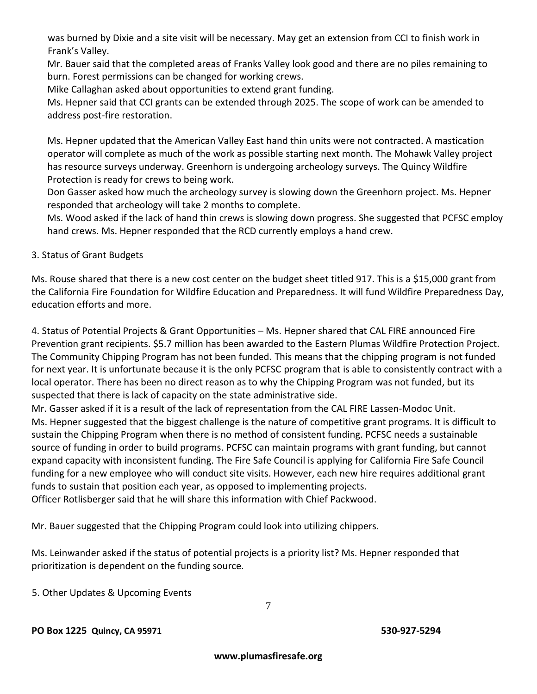was burned by Dixie and a site visit will be necessary. May get an extension from CCI to finish work in Frank's Valley.

Mr. Bauer said that the completed areas of Franks Valley look good and there are no piles remaining to burn. Forest permissions can be changed for working crews.

Mike Callaghan asked about opportunities to extend grant funding.

Ms. Hepner said that CCI grants can be extended through 2025. The scope of work can be amended to address post-fire restoration.

Ms. Hepner updated that the American Valley East hand thin units were not contracted. A mastication operator will complete as much of the work as possible starting next month. The Mohawk Valley project has resource surveys underway. Greenhorn is undergoing archeology surveys. The Quincy Wildfire Protection is ready for crews to being work.

Don Gasser asked how much the archeology survey is slowing down the Greenhorn project. Ms. Hepner responded that archeology will take 2 months to complete.

Ms. Wood asked if the lack of hand thin crews is slowing down progress. She suggested that PCFSC employ hand crews. Ms. Hepner responded that the RCD currently employs a hand crew.

#### 3. Status of Grant Budgets

Ms. Rouse shared that there is a new cost center on the budget sheet titled 917. This is a \$15,000 grant from the California Fire Foundation for Wildfire Education and Preparedness. It will fund Wildfire Preparedness Day, education efforts and more.

4. Status of Potential Projects & Grant Opportunities – Ms. Hepner shared that CAL FIRE announced Fire Prevention grant recipients. \$5.7 million has been awarded to the Eastern Plumas Wildfire Protection Project. The Community Chipping Program has not been funded. This means that the chipping program is not funded for next year. It is unfortunate because it is the only PCFSC program that is able to consistently contract with a local operator. There has been no direct reason as to why the Chipping Program was not funded, but its suspected that there is lack of capacity on the state administrative side.

Mr. Gasser asked if it is a result of the lack of representation from the CAL FIRE Lassen-Modoc Unit. Ms. Hepner suggested that the biggest challenge is the nature of competitive grant programs. It is difficult to sustain the Chipping Program when there is no method of consistent funding. PCFSC needs a sustainable source of funding in order to build programs. PCFSC can maintain programs with grant funding, but cannot expand capacity with inconsistent funding. The Fire Safe Council is applying for California Fire Safe Council funding for a new employee who will conduct site visits. However, each new hire requires additional grant funds to sustain that position each year, as opposed to implementing projects.

Officer Rotlisberger said that he will share this information with Chief Packwood.

Mr. Bauer suggested that the Chipping Program could look into utilizing chippers.

Ms. Leinwander asked if the status of potential projects is a priority list? Ms. Hepner responded that prioritization is dependent on the funding source.

5. Other Updates & Upcoming Events